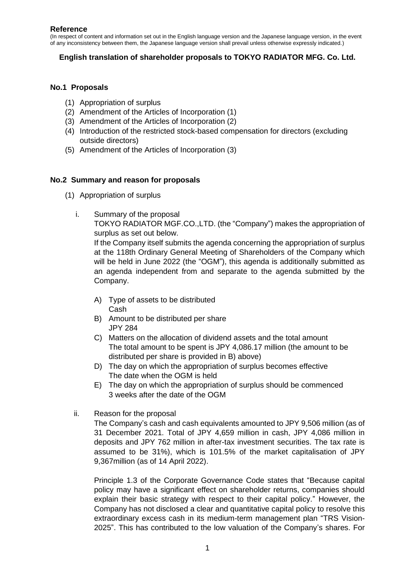### **Reference**

(In respect of content and information set out in the English language version and the Japanese language version, in the event of any inconsistency between them, the Japanese language version shall prevail unless otherwise expressly indicated.)

## **English translation of shareholder proposals to TOKYO RADIATOR MFG. Co. Ltd.**

### **No.1 Proposals**

- (1) Appropriation of surplus
- (2) Amendment of the Articles of Incorporation (1)
- (3) Amendment of the Articles of Incorporation (2)
- (4) Introduction of the restricted stock-based compensation for directors (excluding outside directors)
- (5) Amendment of the Articles of Incorporation (3)

### **No.2 Summary and reason for proposals**

- (1) Appropriation of surplus
	- i. Summary of the proposal

TOKYO RADIATOR MGF.CO.,LTD. (the "Company") makes the appropriation of surplus as set out below.

If the Company itself submits the agenda concerning the appropriation of surplus at the 118th Ordinary General Meeting of Shareholders of the Company which will be held in June 2022 (the "OGM"), this agenda is additionally submitted as an agenda independent from and separate to the agenda submitted by the Company.

- A) Type of assets to be distributed Cash
- B) Amount to be distributed per share JPY 284
- C) Matters on the allocation of dividend assets and the total amount The total amount to be spent is JPY 4,086.17 million (the amount to be distributed per share is provided in B) above)
- D) The day on which the appropriation of surplus becomes effective The date when the OGM is held
- E) The day on which the appropriation of surplus should be commenced 3 weeks after the date of the OGM
- ii. Reason for the proposal

The Company's cash and cash equivalents amounted to JPY 9,506 million (as of 31 December 2021. Total of JPY 4,659 million in cash, JPY 4,086 million in deposits and JPY 762 million in after-tax investment securities. The tax rate is assumed to be 31%), which is 101.5% of the market capitalisation of JPY 9,367million (as of 14 April 2022).

Principle 1.3 of the Corporate Governance Code states that "Because capital policy may have a significant effect on shareholder returns, companies should explain their basic strategy with respect to their capital policy." However, the Company has not disclosed a clear and quantitative capital policy to resolve this extraordinary excess cash in its medium-term management plan "TRS Vision-2025". This has contributed to the low valuation of the Company's shares. For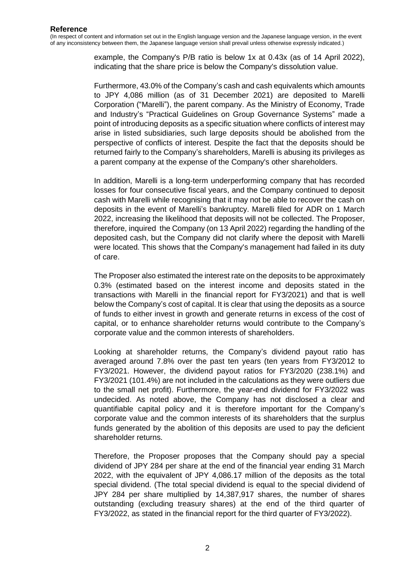> example, the Company's P/B ratio is below 1x at 0.43x (as of 14 April 2022), indicating that the share price is below the Company's dissolution value.

> Furthermore, 43.0% of the Company's cash and cash equivalents which amounts to JPY 4,086 million (as of 31 December 2021) are deposited to Marelli Corporation ("Marelli"), the parent company. As the Ministry of Economy, Trade and Industry's "Practical Guidelines on Group Governance Systems" made a point of introducing deposits as a specific situation where conflicts of interest may arise in listed subsidiaries, such large deposits should be abolished from the perspective of conflicts of interest. Despite the fact that the deposits should be returned fairly to the Company's shareholders, Marelli is abusing its privileges as a parent company at the expense of the Company's other shareholders.

> In addition, Marelli is a long-term underperforming company that has recorded losses for four consecutive fiscal years, and the Company continued to deposit cash with Marelli while recognising that it may not be able to recover the cash on deposits in the event of Marelli's bankruptcy. Marelli filed for ADR on 1 March 2022, increasing the likelihood that deposits will not be collected. The Proposer, therefore, inquired the Company (on 13 April 2022) regarding the handling of the deposited cash, but the Company did not clarify where the deposit with Marelli were located. This shows that the Company's management had failed in its duty of care.

> The Proposer also estimated the interest rate on the deposits to be approximately 0.3% (estimated based on the interest income and deposits stated in the transactions with Marelli in the financial report for FY3/2021) and that is well below the Company's cost of capital. It is clear that using the deposits as a source of funds to either invest in growth and generate returns in excess of the cost of capital, or to enhance shareholder returns would contribute to the Company's corporate value and the common interests of shareholders.

> Looking at shareholder returns, the Company's dividend payout ratio has averaged around 7.8% over the past ten years (ten years from FY3/2012 to FY3/2021. However, the dividend payout ratios for FY3/2020 (238.1%) and FY3/2021 (101.4%) are not included in the calculations as they were outliers due to the small net profit). Furthermore, the year-end dividend for FY3/2022 was undecided. As noted above, the Company has not disclosed a clear and quantifiable capital policy and it is therefore important for the Company's corporate value and the common interests of its shareholders that the surplus funds generated by the abolition of this deposits are used to pay the deficient shareholder returns.

> Therefore, the Proposer proposes that the Company should pay a special dividend of JPY 284 per share at the end of the financial year ending 31 March 2022, with the equivalent of JPY 4,086.17 million of the deposits as the total special dividend. (The total special dividend is equal to the special dividend of JPY 284 per share multiplied by 14,387,917 shares, the number of shares outstanding (excluding treasury shares) at the end of the third quarter of FY3/2022, as stated in the financial report for the third quarter of FY3/2022).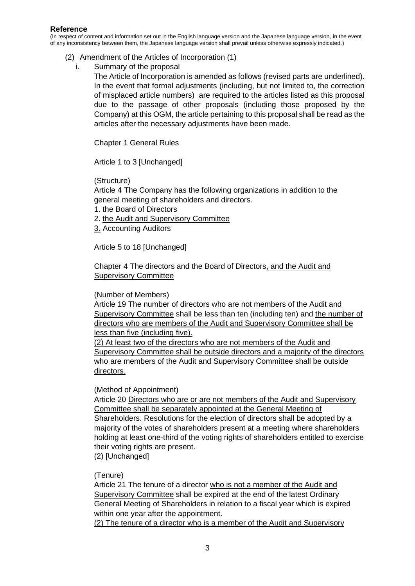- (2) Amendment of the Articles of Incorporation (1)
	- i. Summary of the proposal

The Article of Incorporation is amended as follows (revised parts are underlined). In the event that formal adjustments (including, but not limited to, the correction of misplaced article numbers) are required to the articles listed as this proposal due to the passage of other proposals (including those proposed by the Company) at this OGM, the article pertaining to this proposal shall be read as the articles after the necessary adjustments have been made.

Chapter 1 General Rules

Article 1 to 3 [Unchanged]

## (Structure)

Article 4 The Company has the following organizations in addition to the general meeting of shareholders and directors.

- 1. the Board of Directors
- 2. the Audit and Supervisory Committee
- 3. Accounting Auditors

Article 5 to 18 [Unchanged]

Chapter 4 The directors and the Board of Directors, and the Audit and Supervisory Committee

### (Number of Members)

Article 19 The number of directors who are not members of the Audit and Supervisory Committee shall be less than ten (including ten) and the number of directors who are members of the Audit and Supervisory Committee shall be less than five (including five).

(2) At least two of the directors who are not members of the Audit and Supervisory Committee shall be outside directors and a majority of the directors who are members of the Audit and Supervisory Committee shall be outside directors.

### (Method of Appointment)

Article 20 Directors who are or are not members of the Audit and Supervisory Committee shall be separately appointed at the General Meeting of Shareholders. Resolutions for the election of directors shall be adopted by a majority of the votes of shareholders present at a meeting where shareholders holding at least one-third of the voting rights of shareholders entitled to exercise their voting rights are present.

(2) [Unchanged]

# (Tenure)

Article 21 The tenure of a director who is not a member of the Audit and Supervisory Committee shall be expired at the end of the latest Ordinary General Meeting of Shareholders in relation to a fiscal year which is expired within one year after the appointment.

(2) The tenure of a director who is a member of the Audit and Supervisory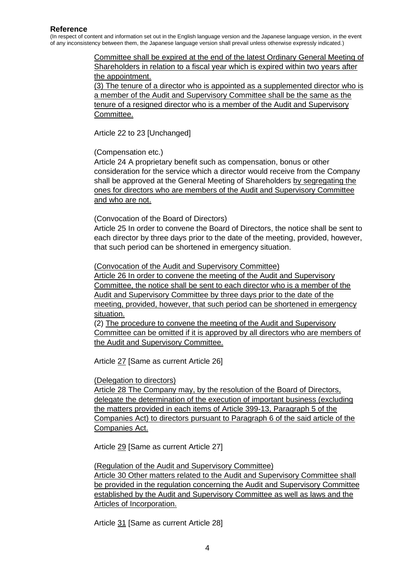#### **Reference**

(In respect of content and information set out in the English language version and the Japanese language version, in the event of any inconsistency between them, the Japanese language version shall prevail unless otherwise expressly indicated.)

> Committee shall be expired at the end of the latest Ordinary General Meeting of Shareholders in relation to a fiscal year which is expired within two years after the appointment.

> (3) The tenure of a director who is appointed as a supplemented director who is a member of the Audit and Supervisory Committee shall be the same as the tenure of a resigned director who is a member of the Audit and Supervisory Committee.

Article 22 to 23 [Unchanged]

(Compensation etc.)

Article 24 A proprietary benefit such as compensation, bonus or other consideration for the service which a director would receive from the Company shall be approved at the General Meeting of Shareholders by segregating the ones for directors who are members of the Audit and Supervisory Committee and who are not.

(Convocation of the Board of Directors)

Article 25 In order to convene the Board of Directors, the notice shall be sent to each director by three days prior to the date of the meeting, provided, however, that such period can be shortened in emergency situation.

(Convocation of the Audit and Supervisory Committee)

Article 26 In order to convene the meeting of the Audit and Supervisory Committee, the notice shall be sent to each director who is a member of the Audit and Supervisory Committee by three days prior to the date of the meeting, provided, however, that such period can be shortened in emergency situation.

(2) The procedure to convene the meeting of the Audit and Supervisory Committee can be omitted if it is approved by all directors who are members of the Audit and Supervisory Committee.

Article 27 [Same as current Article 26]

### (Delegation to directors)

Article 28 The Company may, by the resolution of the Board of Directors, delegate the determination of the execution of important business (excluding the matters provided in each items of Article 399-13, Paragraph 5 of the Companies Act) to directors pursuant to Paragraph 6 of the said article of the Companies Act.

Article 29 [Same as current Article 27]

(Regulation of the Audit and Supervisory Committee) Article 30 Other matters related to the Audit and Supervisory Committee shall be provided in the regulation concerning the Audit and Supervisory Committee established by the Audit and Supervisory Committee as well as laws and the Articles of Incorporation.

Article 31 [Same as current Article 28]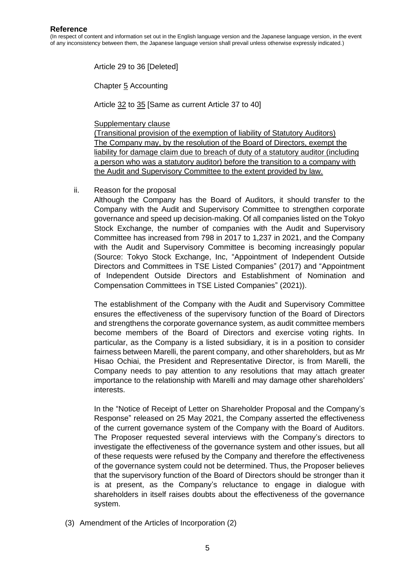Article 29 to 36 [Deleted]

Chapter 5 Accounting

Article 32 to 35 [Same as current Article 37 to 40]

Supplementary clause

(Transitional provision of the exemption of liability of Statutory Auditors) The Company may, by the resolution of the Board of Directors, exempt the liability for damage claim due to breach of duty of a statutory auditor (including a person who was a statutory auditor) before the transition to a company with the Audit and Supervisory Committee to the extent provided by law.

ii. Reason for the proposal

Although the Company has the Board of Auditors, it should transfer to the Company with the Audit and Supervisory Committee to strengthen corporate governance and speed up decision-making. Of all companies listed on the Tokyo Stock Exchange, the number of companies with the Audit and Supervisory Committee has increased from 798 in 2017 to 1,237 in 2021, and the Company with the Audit and Supervisory Committee is becoming increasingly popular (Source: Tokyo Stock Exchange, Inc, "Appointment of Independent Outside Directors and Committees in TSE Listed Companies" (2017) and "Appointment of Independent Outside Directors and Establishment of Nomination and Compensation Committees in TSE Listed Companies" (2021)).

The establishment of the Company with the Audit and Supervisory Committee ensures the effectiveness of the supervisory function of the Board of Directors and strengthens the corporate governance system, as audit committee members become members of the Board of Directors and exercise voting rights. In particular, as the Company is a listed subsidiary, it is in a position to consider fairness between Marelli, the parent company, and other shareholders, but as Mr Hisao Ochiai, the President and Representative Director, is from Marelli, the Company needs to pay attention to any resolutions that may attach greater importance to the relationship with Marelli and may damage other shareholders' interests.

In the "Notice of Receipt of Letter on Shareholder Proposal and the Company's Response" released on 25 May 2021, the Company asserted the effectiveness of the current governance system of the Company with the Board of Auditors. The Proposer requested several interviews with the Company's directors to investigate the effectiveness of the governance system and other issues, but all of these requests were refused by the Company and therefore the effectiveness of the governance system could not be determined. Thus, the Proposer believes that the supervisory function of the Board of Directors should be stronger than it is at present, as the Company's reluctance to engage in dialogue with shareholders in itself raises doubts about the effectiveness of the governance system.

(3) Amendment of the Articles of Incorporation (2)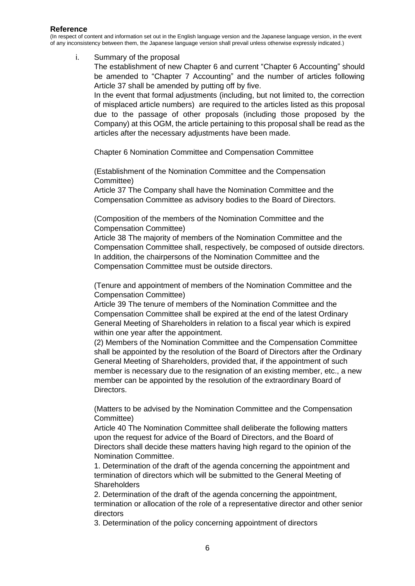i. Summary of the proposal

The establishment of new Chapter 6 and current "Chapter 6 Accounting" should be amended to "Chapter 7 Accounting" and the number of articles following Article 37 shall be amended by putting off by five.

In the event that formal adjustments (including, but not limited to, the correction of misplaced article numbers) are required to the articles listed as this proposal due to the passage of other proposals (including those proposed by the Company) at this OGM, the article pertaining to this proposal shall be read as the articles after the necessary adjustments have been made.

Chapter 6 Nomination Committee and Compensation Committee

(Establishment of the Nomination Committee and the Compensation Committee)

Article 37 The Company shall have the Nomination Committee and the Compensation Committee as advisory bodies to the Board of Directors.

(Composition of the members of the Nomination Committee and the Compensation Committee)

Article 38 The majority of members of the Nomination Committee and the Compensation Committee shall, respectively, be composed of outside directors. In addition, the chairpersons of the Nomination Committee and the Compensation Committee must be outside directors.

(Tenure and appointment of members of the Nomination Committee and the Compensation Committee)

Article 39 The tenure of members of the Nomination Committee and the Compensation Committee shall be expired at the end of the latest Ordinary General Meeting of Shareholders in relation to a fiscal year which is expired within one year after the appointment.

(2) Members of the Nomination Committee and the Compensation Committee shall be appointed by the resolution of the Board of Directors after the Ordinary General Meeting of Shareholders, provided that, if the appointment of such member is necessary due to the resignation of an existing member, etc., a new member can be appointed by the resolution of the extraordinary Board of Directors.

(Matters to be advised by the Nomination Committee and the Compensation Committee)

Article 40 The Nomination Committee shall deliberate the following matters upon the request for advice of the Board of Directors, and the Board of Directors shall decide these matters having high regard to the opinion of the Nomination Committee.

1. Determination of the draft of the agenda concerning the appointment and termination of directors which will be submitted to the General Meeting of **Shareholders** 

2. Determination of the draft of the agenda concerning the appointment, termination or allocation of the role of a representative director and other senior directors

3. Determination of the policy concerning appointment of directors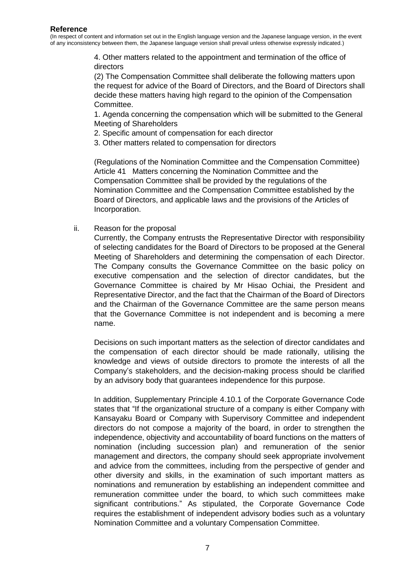> 4. Other matters related to the appointment and termination of the office of directors

(2) The Compensation Committee shall deliberate the following matters upon the request for advice of the Board of Directors, and the Board of Directors shall decide these matters having high regard to the opinion of the Compensation Committee.

1. Agenda concerning the compensation which will be submitted to the General Meeting of Shareholders

- 2. Specific amount of compensation for each director
- 3. Other matters related to compensation for directors

(Regulations of the Nomination Committee and the Compensation Committee) Article 41 Matters concerning the Nomination Committee and the Compensation Committee shall be provided by the regulations of the Nomination Committee and the Compensation Committee established by the Board of Directors, and applicable laws and the provisions of the Articles of Incorporation.

ii. Reason for the proposal

Currently, the Company entrusts the Representative Director with responsibility of selecting candidates for the Board of Directors to be proposed at the General Meeting of Shareholders and determining the compensation of each Director. The Company consults the Governance Committee on the basic policy on executive compensation and the selection of director candidates, but the Governance Committee is chaired by Mr Hisao Ochiai, the President and Representative Director, and the fact that the Chairman of the Board of Directors and the Chairman of the Governance Committee are the same person means that the Governance Committee is not independent and is becoming a mere name.

Decisions on such important matters as the selection of director candidates and the compensation of each director should be made rationally, utilising the knowledge and views of outside directors to promote the interests of all the Company's stakeholders, and the decision-making process should be clarified by an advisory body that guarantees independence for this purpose.

In addition, Supplementary Principle 4.10.1 of the Corporate Governance Code states that "If the organizational structure of a company is either Company with Kansayaku Board or Company with Supervisory Committee and independent directors do not compose a majority of the board, in order to strengthen the independence, objectivity and accountability of board functions on the matters of nomination (including succession plan) and remuneration of the senior management and directors, the company should seek appropriate involvement and advice from the committees, including from the perspective of gender and other diversity and skills, in the examination of such important matters as nominations and remuneration by establishing an independent committee and remuneration committee under the board, to which such committees make significant contributions." As stipulated, the Corporate Governance Code requires the establishment of independent advisory bodies such as a voluntary Nomination Committee and a voluntary Compensation Committee.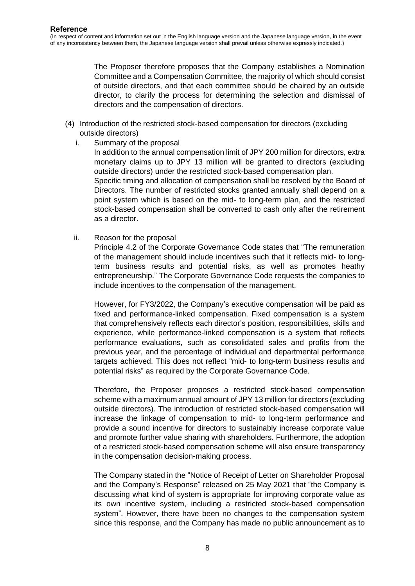The Proposer therefore proposes that the Company establishes a Nomination Committee and a Compensation Committee, the majority of which should consist of outside directors, and that each committee should be chaired by an outside director, to clarify the process for determining the selection and dismissal of directors and the compensation of directors.

- (4) Introduction of the restricted stock-based compensation for directors (excluding outside directors)
	- i. Summary of the proposal In addition to the annual compensation limit of JPY 200 million for directors, extra monetary claims up to JPY 13 million will be granted to directors (excluding outside directors) under the restricted stock-based compensation plan. Specific timing and allocation of compensation shall be resolved by the Board of Directors. The number of restricted stocks granted annually shall depend on a point system which is based on the mid- to long-term plan, and the restricted stock-based compensation shall be converted to cash only after the retirement as a director.
	- ii. Reason for the proposal

Principle 4.2 of the Corporate Governance Code states that "The remuneration of the management should include incentives such that it reflects mid- to longterm business results and potential risks, as well as promotes heathy entrepreneurship." The Corporate Governance Code requests the companies to include incentives to the compensation of the management.

However, for FY3/2022, the Company's executive compensation will be paid as fixed and performance-linked compensation. Fixed compensation is a system that comprehensively reflects each director's position, responsibilities, skills and experience, while performance-linked compensation is a system that reflects performance evaluations, such as consolidated sales and profits from the previous year, and the percentage of individual and departmental performance targets achieved. This does not reflect "mid- to long-term business results and potential risks" as required by the Corporate Governance Code.

Therefore, the Proposer proposes a restricted stock-based compensation scheme with a maximum annual amount of JPY 13 million for directors (excluding outside directors). The introduction of restricted stock-based compensation will increase the linkage of compensation to mid- to long-term performance and provide a sound incentive for directors to sustainably increase corporate value and promote further value sharing with shareholders. Furthermore, the adoption of a restricted stock-based compensation scheme will also ensure transparency in the compensation decision-making process.

The Company stated in the "Notice of Receipt of Letter on Shareholder Proposal and the Company's Response" released on 25 May 2021 that "the Company is discussing what kind of system is appropriate for improving corporate value as its own incentive system, including a restricted stock-based compensation system". However, there have been no changes to the compensation system since this response, and the Company has made no public announcement as to